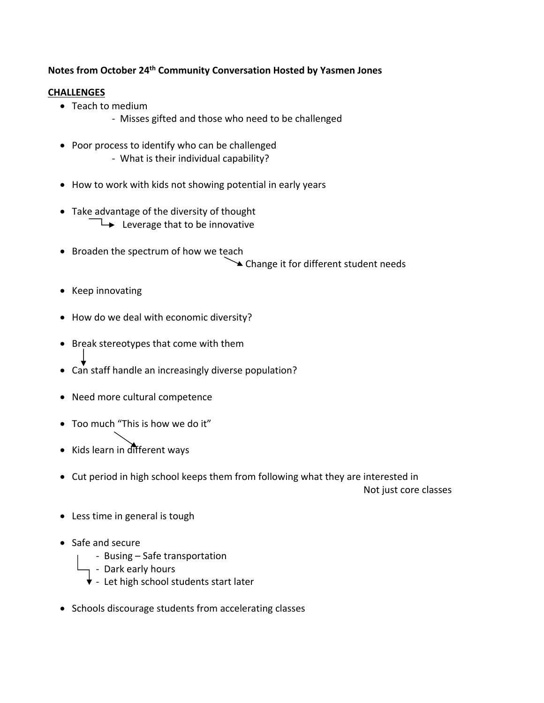**Notes from October 24th Community Conversation Hosted by Yasmen Jones**

## **CHALLENGES**

- Teach to medium
	- ‐ Misses gifted and those who need to be challenged
- Poor process to identify who can be challenged ‐ What is their individual capability?
- How to work with kids not showing potential in early years
- Take advantage of the diversity of thought  $\rightarrow$  Leverage that to be innovative
- Broaden the spectrum of how we teach **■ Change it for different student needs**
- Keep innovating
- How do we deal with economic diversity?
- Break stereotypes that come with them
- Can staff handle an increasingly diverse population?
- Need more cultural competence
- Too much "This is how we do it"
- Kids learn in different ways
- Cut period in high school keeps them from following what they are interested in

Not just core classes

- Less time in general is tough
- Safe and secure
	- ‐ Busing Safe transportation
	- <sub>1</sub> Dark early hours
	- $\overline{\mathbf{v}}$  Let high school students start later
- Schools discourage students from accelerating classes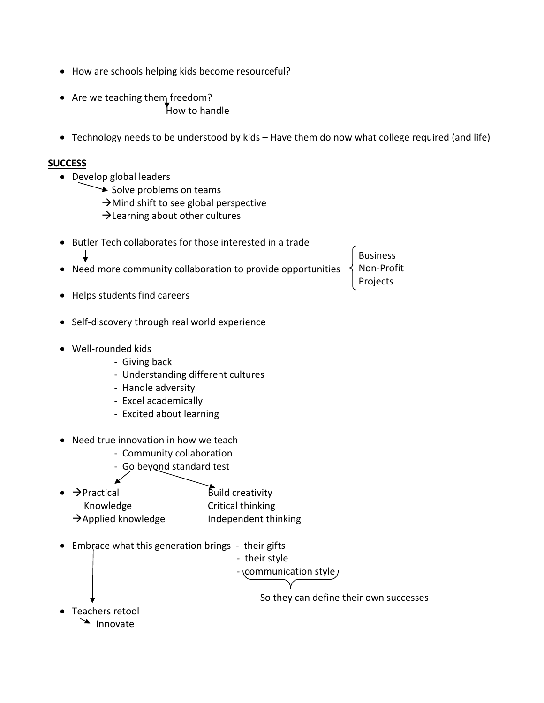- How are schools helping kids become resourceful?
- Are we teaching them freedom? How to handle
- Technology needs to be understood by kids Have them do now what college required (and life)

## **SUCCESS**

- Develop global leaders
	- $\rightarrow$  Solve problems on teams
		- $\rightarrow$  Mind shift to see global perspective
		- $\rightarrow$  Learning about other cultures

| Butler Tech collaborates for those interested in a trade                                                                                           |                                                            |                                           |
|----------------------------------------------------------------------------------------------------------------------------------------------------|------------------------------------------------------------|-------------------------------------------|
|                                                                                                                                                    | Need more community collaboration to provide opportunities | <b>Business</b><br>Non-Profit<br>Projects |
| Helps students find careers                                                                                                                        |                                                            |                                           |
| Self-discovery through real world experience                                                                                                       |                                                            |                                           |
| Well-rounded kids<br>- Giving back<br>- Understanding different cultures<br>- Handle adversity<br>- Excel academically<br>- Excited about learning |                                                            |                                           |
| Need true innovation in how we teach<br>- Community collaboration<br>- Go beyond standard test                                                     |                                                            |                                           |
| $\rightarrow$ Practical                                                                                                                            | Build creativity                                           |                                           |
| Knowledge                                                                                                                                          | Critical thinking                                          |                                           |
| $\rightarrow$ Applied knowledge                                                                                                                    | Independent thinking                                       |                                           |
| Embrace what this generation brings - their gifts                                                                                                  | - their style<br>- communication style                     |                                           |
|                                                                                                                                                    |                                                            | So they can define their own successes    |
| Teachers retool                                                                                                                                    |                                                            |                                           |
| Innovate                                                                                                                                           |                                                            |                                           |